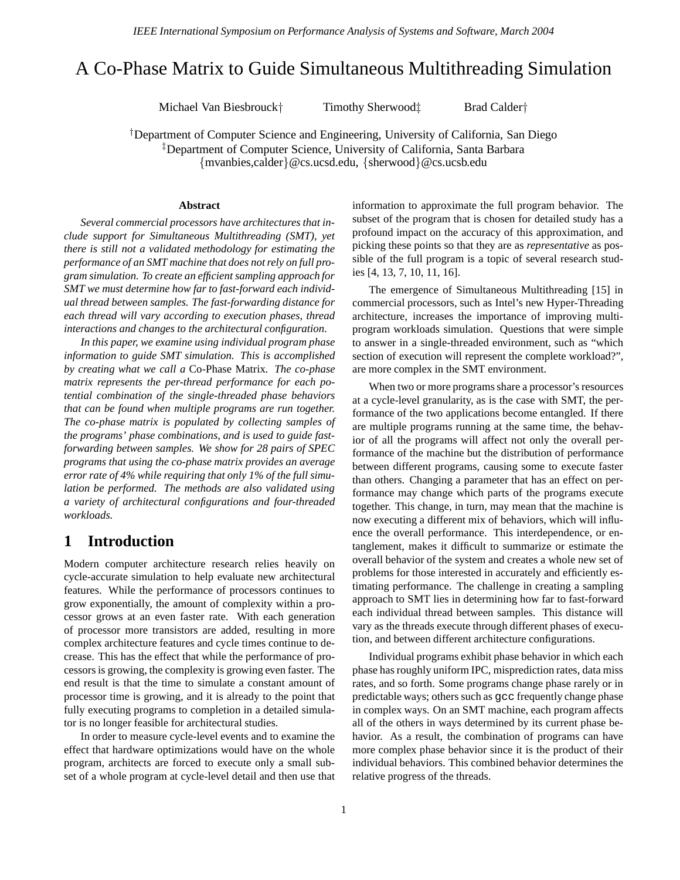# A Co-Phase Matrix to Guide Simultaneous Multithreading Simulation

Michael Van Biesbrouck† Timothy Sherwood‡ Brad Calder†

†Department of Computer Science and Engineering, University of California, San Diego ‡Department of Computer Science, University of California, Santa Barbara {mvanbies,calder}@cs.ucsd.edu, {sherwood}@cs.ucsb.edu

#### **Abstract**

*Several commercial processors have architectures that include support for Simultaneous Multithreading (SMT), yet there is still not a validated methodology for estimating the performance of an SMT machine that does notrely on full program simulation. To create an efficient sampling approach for SMT we must determine how far to fast-forward each individual thread between samples. The fast-forwarding distance for each thread will vary according to execution phases, thread interactions and changes to the architectural configuration.*

*In this paper, we examine using individual program phase information to guide SMT simulation. This is accomplished by creating what we call a* Co-Phase Matrix*. The co-phase matrix represents the per-thread performance for each potential combination of the single-threaded phase behaviors that can be found when multiple programs are run together. The co-phase matrix is populated by collecting samples of the programs' phase combinations, and is used to guide fastforwarding between samples. We show for 28 pairs of SPEC programs that using the co-phase matrix provides an average error rate of 4% while requiring that only 1% of the full simulation be performed. The methods are also validated using a variety of architectural configurations and four-threaded workloads.*

## **1 Introduction**

Modern computer architecture research relies heavily on cycle-accurate simulation to help evaluate new architectural features. While the performance of processors continues to grow exponentially, the amount of complexity within a processor grows at an even faster rate. With each generation of processor more transistors are added, resulting in more complex architecture features and cycle times continue to decrease. This has the effect that while the performance of processors is growing, the complexity is growing even faster. The end result is that the time to simulate a constant amount of processor time is growing, and it is already to the point that fully executing programs to completion in a detailed simulator is no longer feasible for architectural studies.

In order to measure cycle-level events and to examine the effect that hardware optimizations would have on the whole program, architects are forced to execute only a small subset of a whole program at cycle-level detail and then use that information to approximate the full program behavior. The subset of the program that is chosen for detailed study has a profound impact on the accuracy of this approximation, and picking these points so that they are as *representative* as possible of the full program is a topic of several research studies [4, 13, 7, 10, 11, 16].

The emergence of Simultaneous Multithreading [15] in commercial processors, such as Intel's new Hyper-Threading architecture, increases the importance of improving multiprogram workloads simulation. Questions that were simple to answer in a single-threaded environment, such as "which section of execution will represent the complete workload?", are more complex in the SMT environment.

When two or more programs share a processor's resources at a cycle-level granularity, as is the case with SMT, the performance of the two applications become entangled. If there are multiple programs running at the same time, the behavior of all the programs will affect not only the overall performance of the machine but the distribution of performance between different programs, causing some to execute faster than others. Changing a parameter that has an effect on performance may change which parts of the programs execute together. This change, in turn, may mean that the machine is now executing a different mix of behaviors, which will influence the overall performance. This interdependence, or entanglement, makes it difficult to summarize or estimate the overall behavior of the system and creates a whole new set of problems for those interested in accurately and efficiently estimating performance. The challenge in creating a sampling approach to SMT lies in determining how far to fast-forward each individual thread between samples. This distance will vary as the threads execute through different phases of execution, and between different architecture configurations.

Individual programs exhibit phase behavior in which each phase has roughly uniform IPC, misprediction rates, data miss rates, and so forth. Some programs change phase rarely or in predictable ways; others such as gcc frequently change phase in complex ways. On an SMT machine, each program affects all of the others in ways determined by its current phase behavior. As a result, the combination of programs can have more complex phase behavior since it is the product of their individual behaviors. This combined behavior determines the relative progress of the threads.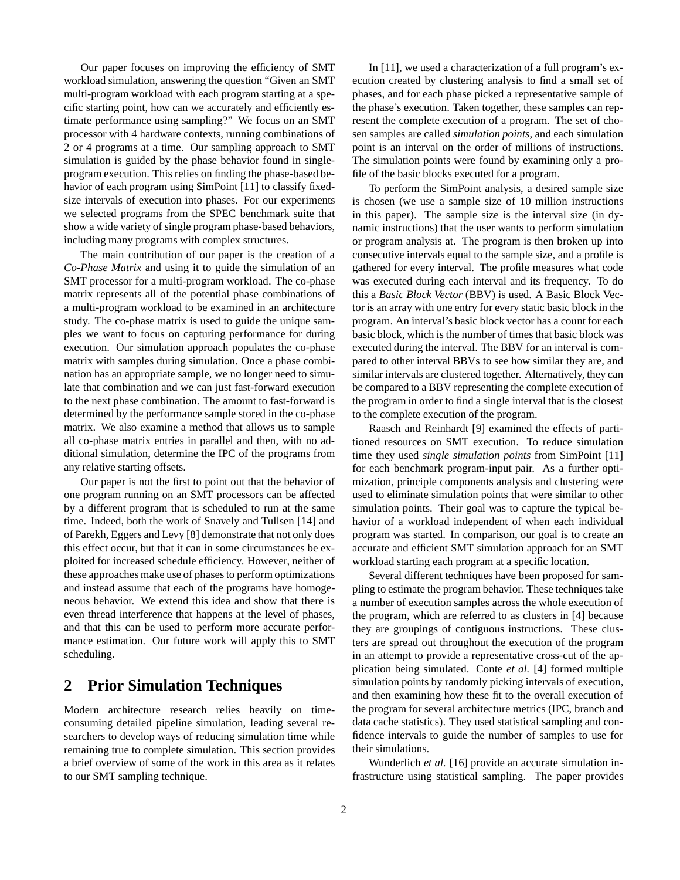Our paper focuses on improving the efficiency of SMT workload simulation, answering the question "Given an SMT multi-program workload with each program starting at a specific starting point, how can we accurately and efficiently estimate performance using sampling?" We focus on an SMT processor with 4 hardware contexts, running combinations of 2 or 4 programs at a time. Our sampling approach to SMT simulation is guided by the phase behavior found in singleprogram execution. This relies on finding the phase-based behavior of each program using SimPoint [11] to classify fixedsize intervals of execution into phases. For our experiments we selected programs from the SPEC benchmark suite that show a wide variety of single program phase-based behaviors, including many programs with complex structures.

The main contribution of our paper is the creation of a *Co-Phase Matrix* and using it to guide the simulation of an SMT processor for a multi-program workload. The co-phase matrix represents all of the potential phase combinations of a multi-program workload to be examined in an architecture study. The co-phase matrix is used to guide the unique samples we want to focus on capturing performance for during execution. Our simulation approach populates the co-phase matrix with samples during simulation. Once a phase combination has an appropriate sample, we no longer need to simulate that combination and we can just fast-forward execution to the next phase combination. The amount to fast-forward is determined by the performance sample stored in the co-phase matrix. We also examine a method that allows us to sample all co-phase matrix entries in parallel and then, with no additional simulation, determine the IPC of the programs from any relative starting offsets.

Our paper is not the first to point out that the behavior of one program running on an SMT processors can be affected by a different program that is scheduled to run at the same time. Indeed, both the work of Snavely and Tullsen [14] and of Parekh, Eggers and Levy [8] demonstrate that not only does this effect occur, but that it can in some circumstances be exploited for increased schedule efficiency. However, neither of these approaches make use of phases to perform optimizations and instead assume that each of the programs have homogeneous behavior. We extend this idea and show that there is even thread interference that happens at the level of phases, and that this can be used to perform more accurate performance estimation. Our future work will apply this to SMT scheduling.

## **2 Prior Simulation Techniques**

Modern architecture research relies heavily on timeconsuming detailed pipeline simulation, leading several researchers to develop ways of reducing simulation time while remaining true to complete simulation. This section provides a brief overview of some of the work in this area as it relates to our SMT sampling technique.

In [11], we used a characterization of a full program's execution created by clustering analysis to find a small set of phases, and for each phase picked a representative sample of the phase's execution. Taken together, these samples can represent the complete execution of a program. The set of chosen samples are called *simulation points*, and each simulation point is an interval on the order of millions of instructions. The simulation points were found by examining only a profile of the basic blocks executed for a program.

To perform the SimPoint analysis, a desired sample size is chosen (we use a sample size of 10 million instructions in this paper). The sample size is the interval size (in dynamic instructions) that the user wants to perform simulation or program analysis at. The program is then broken up into consecutive intervals equal to the sample size, and a profile is gathered for every interval. The profile measures what code was executed during each interval and its frequency. To do this a *Basic Block Vector* (BBV) is used. A Basic Block Vector is an array with one entry for every static basic block in the program. An interval's basic block vector has a count for each basic block, which is the number of times that basic block was executed during the interval. The BBV for an interval is compared to other interval BBVs to see how similar they are, and similar intervals are clustered together. Alternatively, they can be compared to a BBV representing the complete execution of the program in order to find a single interval that is the closest to the complete execution of the program.

Raasch and Reinhardt [9] examined the effects of partitioned resources on SMT execution. To reduce simulation time they used *single simulation points* from SimPoint [11] for each benchmark program-input pair. As a further optimization, principle components analysis and clustering were used to eliminate simulation points that were similar to other simulation points. Their goal was to capture the typical behavior of a workload independent of when each individual program was started. In comparison, our goal is to create an accurate and efficient SMT simulation approach for an SMT workload starting each program at a specific location.

Several different techniques have been proposed for sampling to estimate the program behavior. These techniques take a number of execution samples across the whole execution of the program, which are referred to as clusters in [4] because they are groupings of contiguous instructions. These clusters are spread out throughout the execution of the program in an attempt to provide a representative cross-cut of the application being simulated. Conte *et al.* [4] formed multiple simulation points by randomly picking intervals of execution, and then examining how these fit to the overall execution of the program for several architecture metrics (IPC, branch and data cache statistics). They used statistical sampling and confidence intervals to guide the number of samples to use for their simulations.

Wunderlich *et al.* [16] provide an accurate simulation infrastructure using statistical sampling. The paper provides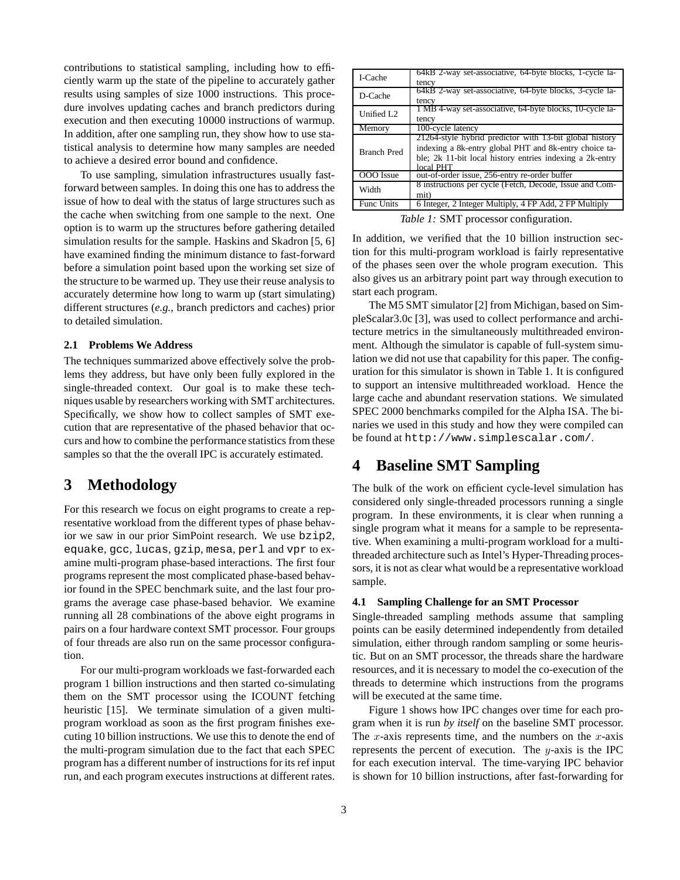contributions to statistical sampling, including how to efficiently warm up the state of the pipeline to accurately gather results using samples of size 1000 instructions. This procedure involves updating caches and branch predictors during execution and then executing 10000 instructions of warmup. In addition, after one sampling run, they show how to use statistical analysis to determine how many samples are needed to achieve a desired error bound and confidence.

To use sampling, simulation infrastructures usually fastforward between samples. In doing this one has to address the issue of how to deal with the status of large structures such as the cache when switching from one sample to the next. One option is to warm up the structures before gathering detailed simulation results for the sample. Haskins and Skadron [5, 6] have examined finding the minimum distance to fast-forward before a simulation point based upon the working set size of the structure to be warmed up. They use their reuse analysis to accurately determine how long to warm up (start simulating) different structures (*e.g.*, branch predictors and caches) prior to detailed simulation.

#### **2.1 Problems We Address**

The techniques summarized above effectively solve the problems they address, but have only been fully explored in the single-threaded context. Our goal is to make these techniques usable by researchers working with SMT architectures. Specifically, we show how to collect samples of SMT execution that are representative of the phased behavior that occurs and how to combine the performance statistics from these samples so that the the overall IPC is accurately estimated.

## **3 Methodology**

For this research we focus on eight programs to create a representative workload from the different types of phase behavior we saw in our prior SimPoint research. We use bzip2, equake, gcc, lucas, gzip, mesa, perl and vpr to examine multi-program phase-based interactions. The first four programs represent the most complicated phase-based behavior found in the SPEC benchmark suite, and the last four programs the average case phase-based behavior. We examine running all 28 combinations of the above eight programs in pairs on a four hardware context SMT processor. Four groups of four threads are also run on the same processor configuration.

For our multi-program workloads we fast-forwarded each program 1 billion instructions and then started co-simulating them on the SMT processor using the ICOUNT fetching heuristic [15]. We terminate simulation of a given multiprogram workload as soon as the first program finishes executing 10 billion instructions. We use this to denote the end of the multi-program simulation due to the fact that each SPEC program has a different number of instructions for its ref input run, and each program executes instructions at different rates.

| I-Cache            | 64kB 2-way set-associative, 64-byte blocks, 1-cycle la-<br>tency                                                                                                                           |  |  |  |
|--------------------|--------------------------------------------------------------------------------------------------------------------------------------------------------------------------------------------|--|--|--|
| D-Cache            | 64kB 2-way set-associative, 64-byte blocks, 3-cycle la-<br>tency                                                                                                                           |  |  |  |
| Unified L2         | 1 MB 4-way set-associative, 64-byte blocks, 10-cycle la-<br>tency                                                                                                                          |  |  |  |
| Memory             | 100-cycle latency                                                                                                                                                                          |  |  |  |
| <b>Branch Pred</b> | 21264-style hybrid predictor with 13-bit global history<br>indexing a 8k-entry global PHT and 8k-entry choice ta-<br>ble; 2k 11-bit local history entries indexing a 2k-entry<br>local PHT |  |  |  |
| OOO Issue          | out-of-order issue, 256-entry re-order buffer                                                                                                                                              |  |  |  |
| Width              | 8 instructions per cycle (Fetch, Decode, Issue and Com-<br>mit)                                                                                                                            |  |  |  |
| <b>Func Units</b>  | 6 Integer, 2 Integer Multiply, 4 FP Add, 2 FP Multiply                                                                                                                                     |  |  |  |

*Table 1:* SMT processor configuration.

In addition, we verified that the 10 billion instruction section for this multi-program workload is fairly representative of the phases seen over the whole program execution. This also gives us an arbitrary point part way through execution to start each program.

The M5 SMT simulator [2] from Michigan, based on SimpleScalar3.0c [3], was used to collect performance and architecture metrics in the simultaneously multithreaded environment. Although the simulator is capable of full-system simulation we did not use that capability for this paper. The configuration for this simulator is shown in Table 1. It is configured to support an intensive multithreaded workload. Hence the large cache and abundant reservation stations. We simulated SPEC 2000 benchmarks compiled for the Alpha ISA. The binaries we used in this study and how they were compiled can be found at http://www.simplescalar.com/.

## **4 Baseline SMT Sampling**

The bulk of the work on efficient cycle-level simulation has considered only single-threaded processors running a single program. In these environments, it is clear when running a single program what it means for a sample to be representative. When examining a multi-program workload for a multithreaded architecture such as Intel's Hyper-Threading processors, it is not as clear what would be a representative workload sample.

#### **4.1 Sampling Challenge for an SMT Processor**

Single-threaded sampling methods assume that sampling points can be easily determined independently from detailed simulation, either through random sampling or some heuristic. But on an SMT processor, the threads share the hardware resources, and it is necessary to model the co-execution of the threads to determine which instructions from the programs will be executed at the same time.

Figure 1 shows how IPC changes over time for each program when it is run *by itself* on the baseline SMT processor. The x-axis represents time, and the numbers on the  $x$ -axis represents the percent of execution. The  $y$ -axis is the IPC for each execution interval. The time-varying IPC behavior is shown for 10 billion instructions, after fast-forwarding for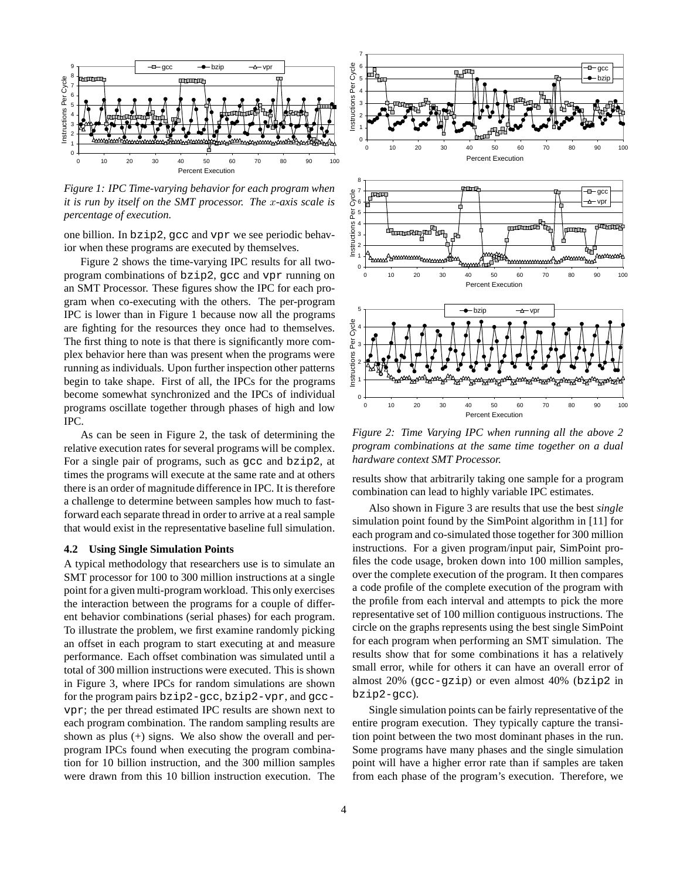

*Figure 1: IPC Time-varying behavior for each program when it is run by itself on the SMT processor. The* x*-axis scale is percentage of execution.*

one billion. In bzip2, gcc and vpr we see periodic behavior when these programs are executed by themselves.

Figure 2 shows the time-varying IPC results for all twoprogram combinations of bzip2, gcc and vpr running on an SMT Processor. These figures show the IPC for each program when co-executing with the others. The per-program IPC is lower than in Figure 1 because now all the programs are fighting for the resources they once had to themselves. The first thing to note is that there is significantly more complex behavior here than was present when the programs were running as individuals. Upon further inspection other patterns begin to take shape. First of all, the IPCs for the programs become somewhat synchronized and the IPCs of individual programs oscillate together through phases of high and low IPC.

As can be seen in Figure 2, the task of determining the relative execution rates for several programs will be complex. For a single pair of programs, such as gcc and bzip2, at times the programs will execute at the same rate and at others there is an order of magnitude difference in IPC. It is therefore a challenge to determine between samples how much to fastforward each separate thread in order to arrive at a real sample that would exist in the representative baseline full simulation.

### **4.2 Using Single Simulation Points**

A typical methodology that researchers use is to simulate an SMT processor for 100 to 300 million instructions at a single point for a given multi-programworkload. This only exercises the interaction between the programs for a couple of different behavior combinations (serial phases) for each program. To illustrate the problem, we first examine randomly picking an offset in each program to start executing at and measure performance. Each offset combination was simulated until a total of 300 million instructions were executed. This is shown in Figure 3, where IPCs for random simulations are shown for the program pairs bzip2-gcc, bzip2-vpr, and gccvpr; the per thread estimated IPC results are shown next to each program combination. The random sampling results are shown as plus (+) signs. We also show the overall and perprogram IPCs found when executing the program combination for 10 billion instruction, and the 300 million samples were drawn from this 10 billion instruction execution. The





*Figure 2: Time Varying IPC when running all the above 2 program combinations at the same time together on a dual hardware context SMT Processor.*

results show that arbitrarily taking one sample for a program combination can lead to highly variable IPC estimates.

Also shown in Figure 3 are results that use the best *single* simulation point found by the SimPoint algorithm in [11] for each program and co-simulated those together for 300 million instructions. For a given program/input pair, SimPoint profiles the code usage, broken down into 100 million samples, over the complete execution of the program. It then compares a code profile of the complete execution of the program with the profile from each interval and attempts to pick the more representative set of 100 million contiguous instructions. The circle on the graphs represents using the best single SimPoint for each program when performing an SMT simulation. The results show that for some combinations it has a relatively small error, while for others it can have an overall error of almost 20% (gcc-gzip) or even almost 40% (bzip2 in bzip2-gcc).

Single simulation points can be fairly representative of the entire program execution. They typically capture the transition point between the two most dominant phases in the run. Some programs have many phases and the single simulation point will have a higher error rate than if samples are taken from each phase of the program's execution. Therefore, we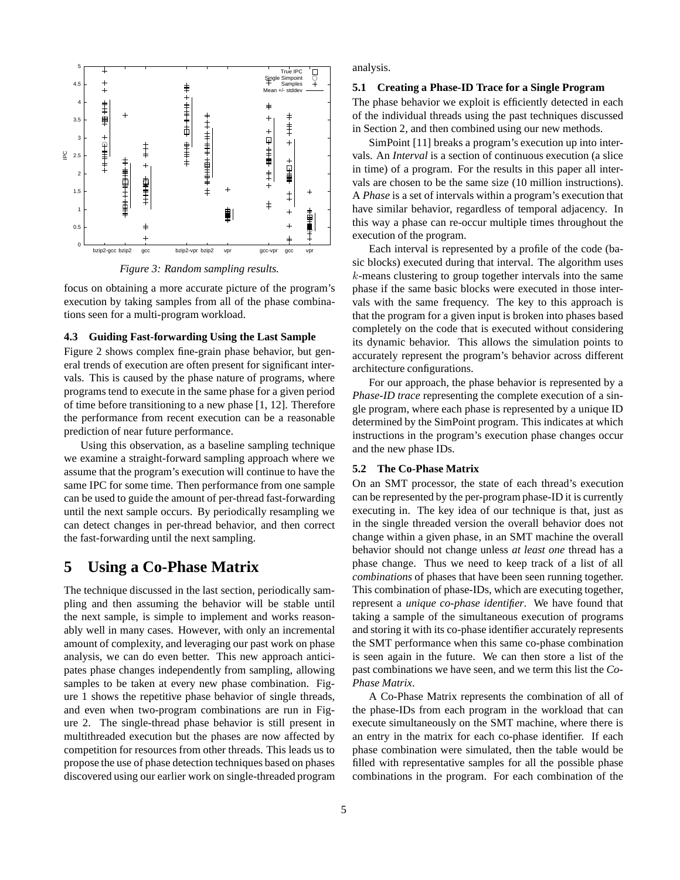

*Figure 3: Random sampling results.*

focus on obtaining a more accurate picture of the program's execution by taking samples from all of the phase combinations seen for a multi-program workload.

### **4.3 Guiding Fast-forwarding Using the Last Sample**

Figure 2 shows complex fine-grain phase behavior, but general trends of execution are often present for significant intervals. This is caused by the phase nature of programs, where programs tend to execute in the same phase for a given period of time before transitioning to a new phase [1, 12]. Therefore the performance from recent execution can be a reasonable prediction of near future performance.

Using this observation, as a baseline sampling technique we examine a straight-forward sampling approach where we assume that the program's execution will continue to have the same IPC for some time. Then performance from one sample can be used to guide the amount of per-thread fast-forwarding until the next sample occurs. By periodically resampling we can detect changes in per-thread behavior, and then correct the fast-forwarding until the next sampling.

## **5 Using a Co-Phase Matrix**

The technique discussed in the last section, periodically sampling and then assuming the behavior will be stable until the next sample, is simple to implement and works reasonably well in many cases. However, with only an incremental amount of complexity, and leveraging our past work on phase analysis, we can do even better. This new approach anticipates phase changes independently from sampling, allowing samples to be taken at every new phase combination. Figure 1 shows the repetitive phase behavior of single threads, and even when two-program combinations are run in Figure 2. The single-thread phase behavior is still present in multithreaded execution but the phases are now affected by competition for resources from other threads. This leads us to propose the use of phase detection techniques based on phases discovered using our earlier work on single-threaded program analysis.

#### **5.1 Creating a Phase-ID Trace for a Single Program**

The phase behavior we exploit is efficiently detected in each of the individual threads using the past techniques discussed in Section 2, and then combined using our new methods.

SimPoint [11] breaks a program's execution up into intervals. An *Interval* is a section of continuous execution (a slice in time) of a program. For the results in this paper all intervals are chosen to be the same size (10 million instructions). A *Phase* is a set of intervals within a program's execution that have similar behavior, regardless of temporal adjacency. In this way a phase can re-occur multiple times throughout the execution of the program.

Each interval is represented by a profile of the code (basic blocks) executed during that interval. The algorithm uses  $k$ -means clustering to group together intervals into the same phase if the same basic blocks were executed in those intervals with the same frequency. The key to this approach is that the program for a given input is broken into phases based completely on the code that is executed without considering its dynamic behavior. This allows the simulation points to accurately represent the program's behavior across different architecture configurations.

For our approach, the phase behavior is represented by a *Phase-ID trace* representing the complete execution of a single program, where each phase is represented by a unique ID determined by the SimPoint program. This indicates at which instructions in the program's execution phase changes occur and the new phase IDs.

### **5.2 The Co-Phase Matrix**

On an SMT processor, the state of each thread's execution can be represented by the per-program phase-ID it is currently executing in. The key idea of our technique is that, just as in the single threaded version the overall behavior does not change within a given phase, in an SMT machine the overall behavior should not change unless *at least one* thread has a phase change. Thus we need to keep track of a list of all *combinations* of phases that have been seen running together. This combination of phase-IDs, which are executing together, represent a *unique co-phase identifier*. We have found that taking a sample of the simultaneous execution of programs and storing it with its co-phase identifier accurately represents the SMT performance when this same co-phase combination is seen again in the future. We can then store a list of the past combinations we have seen, and we term this list the *Co-Phase Matrix*.

A Co-Phase Matrix represents the combination of all of the phase-IDs from each program in the workload that can execute simultaneously on the SMT machine, where there is an entry in the matrix for each co-phase identifier. If each phase combination were simulated, then the table would be filled with representative samples for all the possible phase combinations in the program. For each combination of the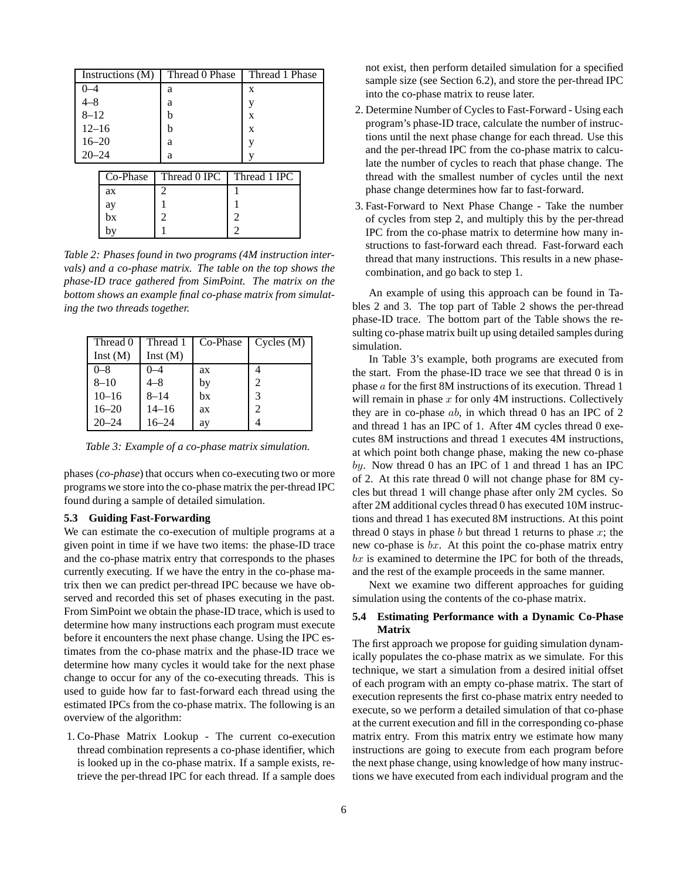| Instructions (M) |          | Thread 0 Phase |   | Thread 1 Phase |  |
|------------------|----------|----------------|---|----------------|--|
| $0 - 4$          |          | a              |   | X              |  |
| $4 - 8$          |          | a              |   | y              |  |
| $8 - 12$         |          | b              |   | X              |  |
| $12 - 16$        |          | b              |   | X              |  |
| $16 - 20$        |          | a              |   | V              |  |
| $20 - 24$        |          | a              |   | v              |  |
|                  |          |                |   |                |  |
|                  | Co-Phase | Thread 0 IPC   |   | Thread 1 IPC   |  |
|                  | ax       | 2              |   |                |  |
|                  | ay       |                |   |                |  |
|                  | bx       | $\mathfrak{D}$ | 2 |                |  |
|                  | by       |                | 2 |                |  |

*Table 2: Phases found in two programs (4M instruction intervals) and a co-phase matrix. The table on the top shows the phase-ID trace gathered from SimPoint. The matrix on the bottom shows an example final co-phase matrix from simulating the two threads together.*

| Thread 0  | Thread 1  | Co-Phase | Cycles (M)     |
|-----------|-----------|----------|----------------|
| Inst(M)   | Inst(M)   |          |                |
| $0 - 8$   | -4        | ax       |                |
| $8 - 10$  | 4–8       | by       | $\mathfrak{D}$ |
| $10 - 16$ | $8 - 14$  | bx       | 3              |
| $16 - 20$ | $14 - 16$ | ax       | 2              |
| $20 - 24$ | $16 - 24$ | ay       |                |

*Table 3: Example of a co-phase matrix simulation.*

phases (*co-phase*) that occurs when co-executing two or more programs we store into the co-phase matrix the per-thread IPC found during a sample of detailed simulation.

### **5.3 Guiding Fast-Forwarding**

We can estimate the co-execution of multiple programs at a given point in time if we have two items: the phase-ID trace and the co-phase matrix entry that corresponds to the phases currently executing. If we have the entry in the co-phase matrix then we can predict per-thread IPC because we have observed and recorded this set of phases executing in the past. From SimPoint we obtain the phase-ID trace, which is used to determine how many instructions each program must execute before it encounters the next phase change. Using the IPC estimates from the co-phase matrix and the phase-ID trace we determine how many cycles it would take for the next phase change to occur for any of the co-executing threads. This is used to guide how far to fast-forward each thread using the estimated IPCs from the co-phase matrix. The following is an overview of the algorithm:

1. Co-Phase Matrix Lookup - The current co-execution thread combination represents a co-phase identifier, which is looked up in the co-phase matrix. If a sample exists, retrieve the per-thread IPC for each thread. If a sample does not exist, then perform detailed simulation for a specified sample size (see Section 6.2), and store the per-thread IPC into the co-phase matrix to reuse later.

- 2. Determine Number of Cycles to Fast-Forward Using each program's phase-ID trace, calculate the number of instructions until the next phase change for each thread. Use this and the per-thread IPC from the co-phase matrix to calculate the number of cycles to reach that phase change. The thread with the smallest number of cycles until the next phase change determines how far to fast-forward.
- 3. Fast-Forward to Next Phase Change Take the number of cycles from step 2, and multiply this by the per-thread IPC from the co-phase matrix to determine how many instructions to fast-forward each thread. Fast-forward each thread that many instructions. This results in a new phasecombination, and go back to step 1.

An example of using this approach can be found in Tables 2 and 3. The top part of Table 2 shows the per-thread phase-ID trace. The bottom part of the Table shows the resulting co-phase matrix built up using detailed samples during simulation.

In Table 3's example, both programs are executed from the start. From the phase-ID trace we see that thread 0 is in phase a for the first 8M instructions of its execution. Thread 1 will remain in phase  $x$  for only 4M instructions. Collectively they are in co-phase  $ab$ , in which thread 0 has an IPC of 2 and thread 1 has an IPC of 1. After 4M cycles thread 0 executes 8M instructions and thread 1 executes 4M instructions, at which point both change phase, making the new co-phase by. Now thread 0 has an IPC of 1 and thread 1 has an IPC of 2. At this rate thread 0 will not change phase for 8M cycles but thread 1 will change phase after only 2M cycles. So after 2M additional cycles thread 0 has executed 10M instructions and thread 1 has executed 8M instructions. At this point thread 0 stays in phase  $b$  but thread 1 returns to phase  $x$ ; the new co-phase is bx. At this point the co-phase matrix entry  $bx$  is examined to determine the IPC for both of the threads, and the rest of the example proceeds in the same manner.

Next we examine two different approaches for guiding simulation using the contents of the co-phase matrix.

### **5.4 Estimating Performance with a Dynamic Co-Phase Matrix**

The first approach we propose for guiding simulation dynamically populates the co-phase matrix as we simulate. For this technique, we start a simulation from a desired initial offset of each program with an empty co-phase matrix. The start of execution represents the first co-phase matrix entry needed to execute, so we perform a detailed simulation of that co-phase at the current execution and fill in the corresponding co-phase matrix entry. From this matrix entry we estimate how many instructions are going to execute from each program before the next phase change, using knowledge of how many instructions we have executed from each individual program and the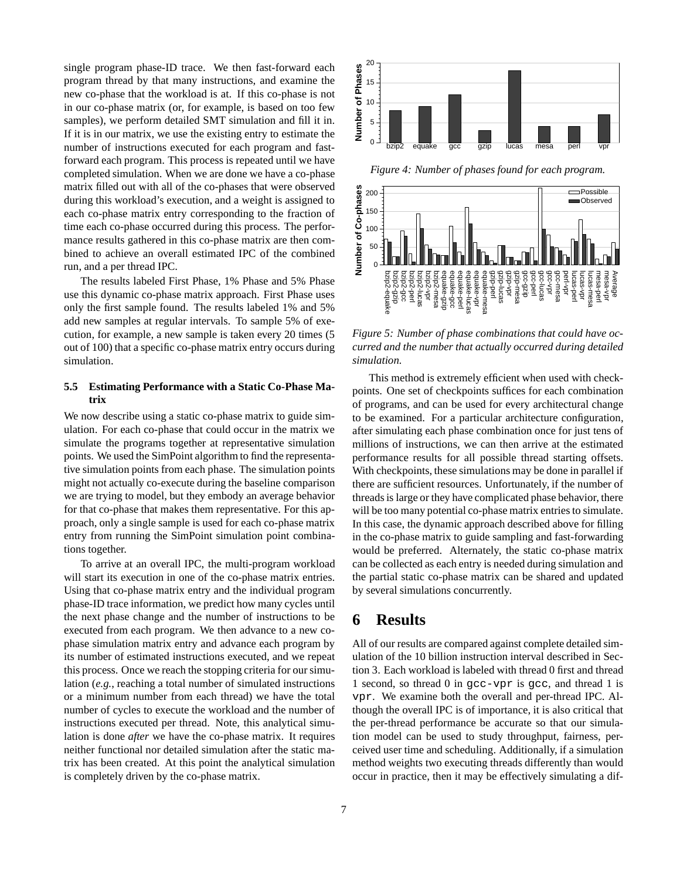single program phase-ID trace. We then fast-forward each program thread by that many instructions, and examine the new co-phase that the workload is at. If this co-phase is not in our co-phase matrix (or, for example, is based on too few samples), we perform detailed SMT simulation and fill it in. If it is in our matrix, we use the existing entry to estimate the number of instructions executed for each program and fastforward each program. This process is repeated until we have completed simulation. When we are done we have a co-phase matrix filled out with all of the co-phases that were observed during this workload's execution, and a weight is assigned to each co-phase matrix entry corresponding to the fraction of time each co-phase occurred during this process. The performance results gathered in this co-phase matrix are then combined to achieve an overall estimated IPC of the combined run, and a per thread IPC.

The results labeled First Phase, 1% Phase and 5% Phase use this dynamic co-phase matrix approach. First Phase uses only the first sample found. The results labeled 1% and 5% add new samples at regular intervals. To sample 5% of execution, for example, a new sample is taken every 20 times (5 out of 100) that a specific co-phase matrix entry occurs during simulation.

### **5.5 Estimating Performance with a Static Co-Phase Matrix**

We now describe using a static co-phase matrix to guide simulation. For each co-phase that could occur in the matrix we simulate the programs together at representative simulation points. We used the SimPoint algorithm to find the representative simulation points from each phase. The simulation points might not actually co-execute during the baseline comparison we are trying to model, but they embody an average behavior for that co-phase that makes them representative. For this approach, only a single sample is used for each co-phase matrix entry from running the SimPoint simulation point combinations together.

To arrive at an overall IPC, the multi-program workload will start its execution in one of the co-phase matrix entries. Using that co-phase matrix entry and the individual program phase-ID trace information, we predict how many cycles until the next phase change and the number of instructions to be executed from each program. We then advance to a new cophase simulation matrix entry and advance each program by its number of estimated instructions executed, and we repeat this process. Once we reach the stopping criteria for oursimulation (*e.g.*, reaching a total number of simulated instructions or a minimum number from each thread) we have the total number of cycles to execute the workload and the number of instructions executed per thread. Note, this analytical simulation is done *after* we have the co-phase matrix. It requires neither functional nor detailed simulation after the static matrix has been created. At this point the analytical simulation is completely driven by the co-phase matrix.



*Figure 4: Number of phases found for each program.*



*Figure 5: Number of phase combinations that could have occurred and the number that actually occurred during detailed simulation.*

This method is extremely efficient when used with checkpoints. One set of checkpoints suffices for each combination of programs, and can be used for every architectural change to be examined. For a particular architecture configuration, after simulating each phase combination once for just tens of millions of instructions, we can then arrive at the estimated performance results for all possible thread starting offsets. With checkpoints, these simulations may be done in parallel if there are sufficient resources. Unfortunately, if the number of threadsis large or they have complicated phase behavior, there will be too many potential co-phase matrix entries to simulate. In this case, the dynamic approach described above for filling in the co-phase matrix to guide sampling and fast-forwarding would be preferred. Alternately, the static co-phase matrix can be collected as each entry is needed during simulation and the partial static co-phase matrix can be shared and updated by several simulations concurrently.

## **6 Results**

All of our results are compared against complete detailed simulation of the 10 billion instruction interval described in Section 3. Each workload is labeled with thread 0 first and thread 1 second, so thread 0 in gcc-vpr is gcc, and thread 1 is vpr. We examine both the overall and per-thread IPC. Although the overall IPC is of importance, it is also critical that the per-thread performance be accurate so that our simulation model can be used to study throughput, fairness, perceived user time and scheduling. Additionally, if a simulation method weights two executing threads differently than would occur in practice, then it may be effectively simulating a dif-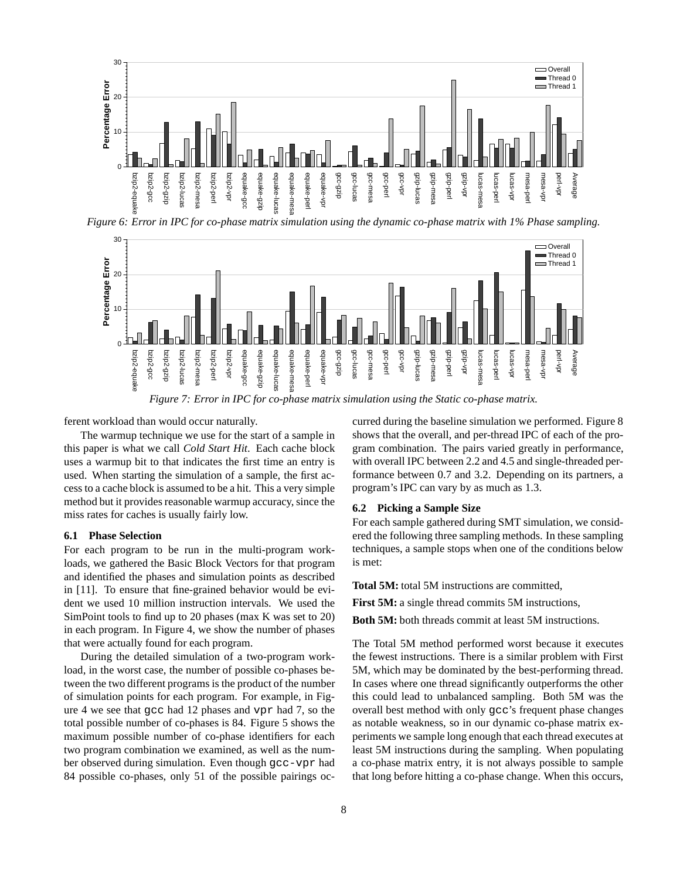

Figure 6: Error in IPC for co-phase matrix simulation using the dynamic co-phase matrix with 1% Phase sampling.



*Figure 7: Error in IPC for co-phase matrix simulation using the Static co-phase matrix.*

ferent workload than would occur naturally.

The warmup technique we use for the start of a sample in this paper is what we call *Cold Start Hit*. Each cache block uses a warmup bit to that indicates the first time an entry is used. When starting the simulation of a sample, the first access to a cache block is assumed to be a hit. This a very simple method but it provides reasonable warmup accuracy, since the miss rates for caches is usually fairly low.

#### **6.1 Phase Selection**

For each program to be run in the multi-program workloads, we gathered the Basic Block Vectors for that program and identified the phases and simulation points as described in [11]. To ensure that fine-grained behavior would be evident we used 10 million instruction intervals. We used the SimPoint tools to find up to 20 phases (max K was set to 20) in each program. In Figure 4, we show the number of phases that were actually found for each program.

During the detailed simulation of a two-program workload, in the worst case, the number of possible co-phases between the two different programs is the product of the number of simulation points for each program. For example, in Figure 4 we see that gcc had 12 phases and vpr had 7, so the total possible number of co-phases is 84. Figure 5 shows the maximum possible number of co-phase identifiers for each two program combination we examined, as well as the number observed during simulation. Even though gcc-vpr had 84 possible co-phases, only 51 of the possible pairings occurred during the baseline simulation we performed. Figure 8 shows that the overall, and per-thread IPC of each of the program combination. The pairs varied greatly in performance, with overall IPC between 2.2 and 4.5 and single-threaded performance between 0.7 and 3.2. Depending on its partners, a program's IPC can vary by as much as 1.3.

### **6.2 Picking a Sample Size**

For each sample gathered during SMT simulation, we considered the following three sampling methods. In these sampling techniques, a sample stops when one of the conditions below is met:

**Total 5M:** total 5M instructions are committed,

**First 5M:** a single thread commits 5M instructions,

**Both 5M:** both threads commit at least 5M instructions.

The Total 5M method performed worst because it executes the fewest instructions. There is a similar problem with First 5M, which may be dominated by the best-performing thread. In cases where one thread significantly outperforms the other this could lead to unbalanced sampling. Both 5M was the overall best method with only gcc's frequent phase changes as notable weakness, so in our dynamic co-phase matrix experiments we sample long enough that each thread executes at least 5M instructions during the sampling. When populating a co-phase matrix entry, it is not always possible to sample that long before hitting a co-phase change. When this occurs,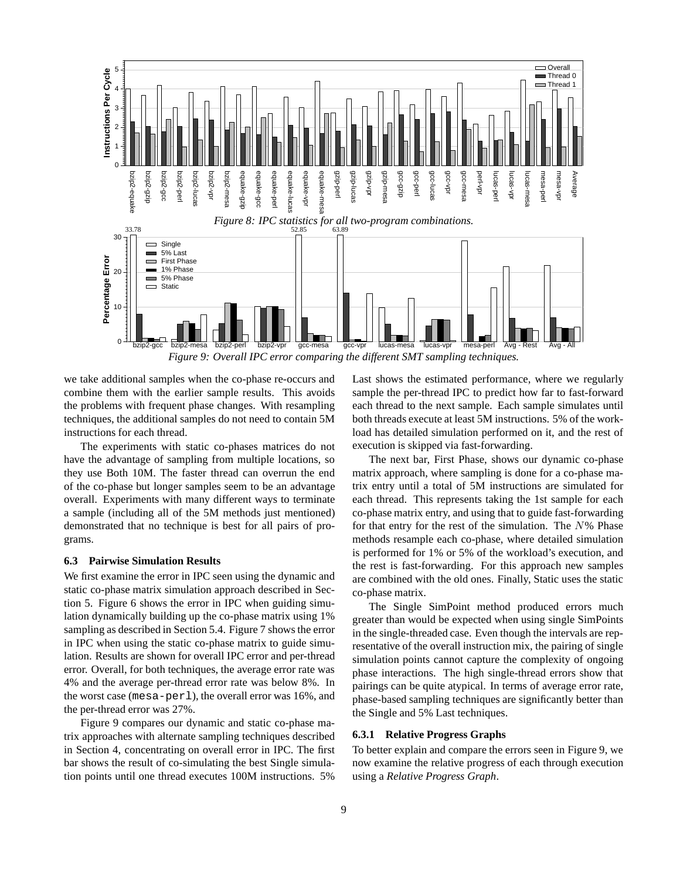

*Figure 9: Overall IPC error comparing the different SMT sampling techniques.*

we take additional samples when the co-phase re-occurs and combine them with the earlier sample results. This avoids the problems with frequent phase changes. With resampling techniques, the additional samples do not need to contain 5M instructions for each thread.

The experiments with static co-phases matrices do not have the advantage of sampling from multiple locations, so they use Both 10M. The faster thread can overrun the end of the co-phase but longer samples seem to be an advantage overall. Experiments with many different ways to terminate a sample (including all of the 5M methods just mentioned) demonstrated that no technique is best for all pairs of programs.

## **6.3 Pairwise Simulation Results**

We first examine the error in IPC seen using the dynamic and static co-phase matrix simulation approach described in Section 5. Figure 6 shows the error in IPC when guiding simulation dynamically building up the co-phase matrix using 1% sampling as described in Section 5.4. Figure 7 shows the error in IPC when using the static co-phase matrix to guide simulation. Results are shown for overall IPC error and per-thread error. Overall, for both techniques, the average error rate was 4% and the average per-thread error rate was below 8%. In the worst case (mesa-perl), the overall error was 16%, and the per-thread error was 27%.

Figure 9 compares our dynamic and static co-phase matrix approaches with alternate sampling techniques described in Section 4, concentrating on overall error in IPC. The first bar shows the result of co-simulating the best Single simulation points until one thread executes 100M instructions. 5%

Last shows the estimated performance, where we regularly sample the per-thread IPC to predict how far to fast-forward each thread to the next sample. Each sample simulates until both threads execute at least 5M instructions. 5% of the workload has detailed simulation performed on it, and the rest of execution is skipped via fast-forwarding.

The next bar, First Phase, shows our dynamic co-phase matrix approach, where sampling is done for a co-phase matrix entry until a total of 5M instructions are simulated for each thread. This represents taking the 1st sample for each co-phase matrix entry, and using that to guide fast-forwarding for that entry for the rest of the simulation. The  $N\%$  Phase methods resample each co-phase, where detailed simulation is performed for 1% or 5% of the workload's execution, and the rest is fast-forwarding. For this approach new samples are combined with the old ones. Finally, Static uses the static co-phase matrix.

The Single SimPoint method produced errors much greater than would be expected when using single SimPoints in the single-threaded case. Even though the intervals are representative of the overall instruction mix, the pairing of single simulation points cannot capture the complexity of ongoing phase interactions. The high single-thread errors show that pairings can be quite atypical. In terms of average error rate, phase-based sampling techniques are significantly better than the Single and 5% Last techniques.

### **6.3.1 Relative Progress Graphs**

To better explain and compare the errors seen in Figure 9, we now examine the relative progress of each through execution using a *Relative Progress Graph*.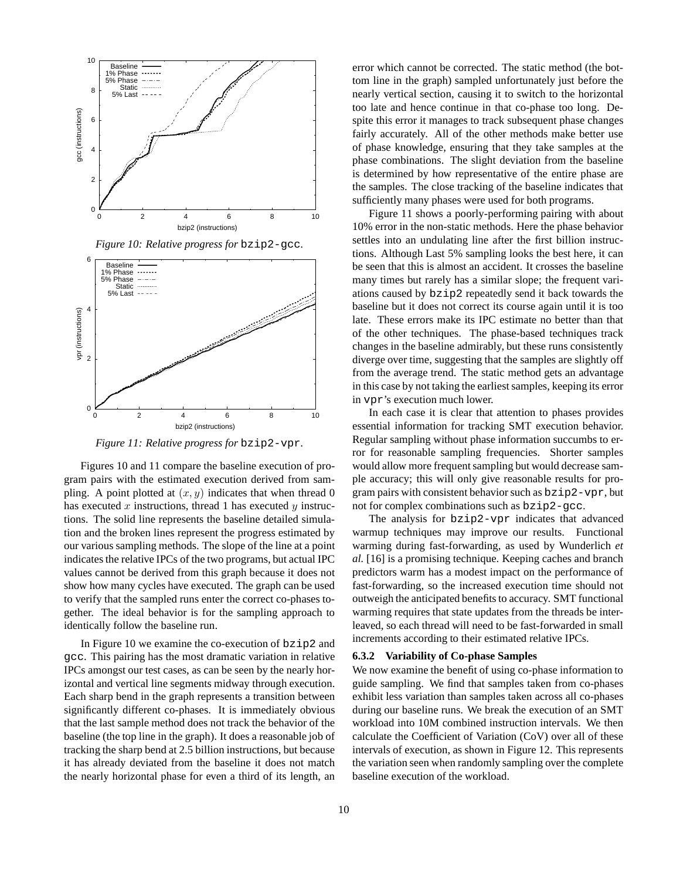

*Figure 10: Relative progress for* bzip2-gcc*.*



*Figure 11: Relative progress for* bzip2-vpr*.*

Figures 10 and 11 compare the baseline execution of program pairs with the estimated execution derived from sampling. A point plotted at  $(x, y)$  indicates that when thread 0 has executed x instructions, thread 1 has executed y instructions. The solid line represents the baseline detailed simulation and the broken lines represent the progress estimated by our various sampling methods. The slope of the line at a point indicates the relative IPCs of the two programs, but actual IPC values cannot be derived from this graph because it does not show how many cycles have executed. The graph can be used to verify that the sampled runs enter the correct co-phases together. The ideal behavior is for the sampling approach to identically follow the baseline run.

In Figure 10 we examine the co-execution of bzip2 and gcc. This pairing has the most dramatic variation in relative IPCs amongst our test cases, as can be seen by the nearly horizontal and vertical line segments midway through execution. Each sharp bend in the graph represents a transition between significantly different co-phases. It is immediately obvious that the last sample method does not track the behavior of the baseline (the top line in the graph). It does a reasonable job of tracking the sharp bend at 2.5 billion instructions, but because it has already deviated from the baseline it does not match the nearly horizontal phase for even a third of its length, an

error which cannot be corrected. The static method (the bottom line in the graph) sampled unfortunately just before the nearly vertical section, causing it to switch to the horizontal too late and hence continue in that co-phase too long. Despite this error it manages to track subsequent phase changes fairly accurately. All of the other methods make better use of phase knowledge, ensuring that they take samples at the phase combinations. The slight deviation from the baseline is determined by how representative of the entire phase are the samples. The close tracking of the baseline indicates that sufficiently many phases were used for both programs.

Figure 11 shows a poorly-performing pairing with about 10% error in the non-static methods. Here the phase behavior settles into an undulating line after the first billion instructions. Although Last 5% sampling looks the best here, it can be seen that this is almost an accident. It crosses the baseline many times but rarely has a similar slope; the frequent variations caused by bzip2 repeatedly send it back towards the baseline but it does not correct its course again until it is too late. These errors make its IPC estimate no better than that of the other techniques. The phase-based techniques track changes in the baseline admirably, but these runs consistently diverge over time, suggesting that the samples are slightly off from the average trend. The static method gets an advantage in this case by not taking the earliest samples, keeping its error in vpr's execution much lower.

In each case it is clear that attention to phases provides essential information for tracking SMT execution behavior. Regular sampling without phase information succumbs to error for reasonable sampling frequencies. Shorter samples would allow more frequent sampling but would decrease sample accuracy; this will only give reasonable results for program pairs with consistent behavior such as  $bzip2-vpr$ , but not for complex combinations such as bzip2-gcc.

The analysis for bzip2-vpr indicates that advanced warmup techniques may improve our results. Functional warming during fast-forwarding, as used by Wunderlich *et al.* [16] is a promising technique. Keeping caches and branch predictors warm has a modest impact on the performance of fast-forwarding, so the increased execution time should not outweigh the anticipated benefits to accuracy. SMT functional warming requires that state updates from the threads be interleaved, so each thread will need to be fast-forwarded in small increments according to their estimated relative IPCs.

#### **6.3.2 Variability of Co-phase Samples**

We now examine the benefit of using co-phase information to guide sampling. We find that samples taken from co-phases exhibit less variation than samples taken across all co-phases during our baseline runs. We break the execution of an SMT workload into 10M combined instruction intervals. We then calculate the Coefficient of Variation (CoV) over all of these intervals of execution, as shown in Figure 12. This represents the variation seen when randomly sampling over the complete baseline execution of the workload.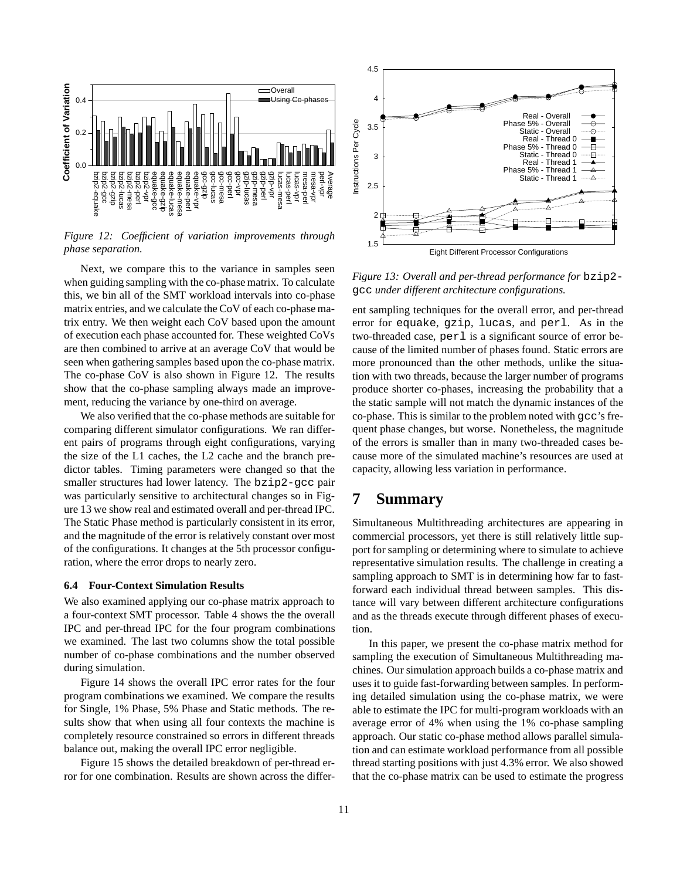

*Figure 12: Coefficient of variation improvements through phase separation.*

Next, we compare this to the variance in samples seen when guiding sampling with the co-phase matrix. To calculate this, we bin all of the SMT workload intervals into co-phase matrix entries, and we calculate the CoV of each co-phase matrix entry. We then weight each CoV based upon the amount of execution each phase accounted for. These weighted CoVs are then combined to arrive at an average CoV that would be seen when gathering samples based upon the co-phase matrix. The co-phase CoV is also shown in Figure 12. The results show that the co-phase sampling always made an improvement, reducing the variance by one-third on average.

We also verified that the co-phase methods are suitable for comparing different simulator configurations. We ran different pairs of programs through eight configurations, varying the size of the L1 caches, the L2 cache and the branch predictor tables. Timing parameters were changed so that the smaller structures had lower latency. The bzip2-gcc pair was particularly sensitive to architectural changes so in Figure 13 we show real and estimated overall and per-thread IPC. The Static Phase method is particularly consistent in its error, and the magnitude of the error is relatively constant over most of the configurations. It changes at the 5th processor configuration, where the error drops to nearly zero.

### **6.4 Four-Context Simulation Results**

We also examined applying our co-phase matrix approach to a four-context SMT processor. Table 4 shows the the overall IPC and per-thread IPC for the four program combinations we examined. The last two columns show the total possible number of co-phase combinations and the number observed during simulation.

Figure 14 shows the overall IPC error rates for the four program combinations we examined. We compare the results for Single, 1% Phase, 5% Phase and Static methods. The results show that when using all four contexts the machine is completely resource constrained so errors in different threads balance out, making the overall IPC error negligible.

Figure 15 shows the detailed breakdown of per-thread error for one combination. Results are shown across the differ-



*Figure 13: Overall and per-thread performance for* bzip2 gcc *under different architecture configurations.*

ent sampling techniques for the overall error, and per-thread error for equake, gzip, lucas, and perl. As in the two-threaded case, perl is a significant source of error because of the limited number of phases found. Static errors are more pronounced than the other methods, unlike the situation with two threads, because the larger number of programs produce shorter co-phases, increasing the probability that a the static sample will not match the dynamic instances of the co-phase. This is similar to the problem noted with gcc's frequent phase changes, but worse. Nonetheless, the magnitude of the errors is smaller than in many two-threaded cases because more of the simulated machine's resources are used at capacity, allowing less variation in performance.

## **7 Summary**

Simultaneous Multithreading architectures are appearing in commercial processors, yet there is still relatively little support for sampling or determining where to simulate to achieve representative simulation results. The challenge in creating a sampling approach to SMT is in determining how far to fastforward each individual thread between samples. This distance will vary between different architecture configurations and as the threads execute through different phases of execution.

In this paper, we present the co-phase matrix method for sampling the execution of Simultaneous Multithreading machines. Our simulation approach builds a co-phase matrix and uses it to guide fast-forwarding between samples. In performing detailed simulation using the co-phase matrix, we were able to estimate the IPC for multi-program workloads with an average error of 4% when using the 1% co-phase sampling approach. Our static co-phase method allows parallel simulation and can estimate workload performance from all possible thread starting positions with just 4.3% error. We also showed that the co-phase matrix can be used to estimate the progress